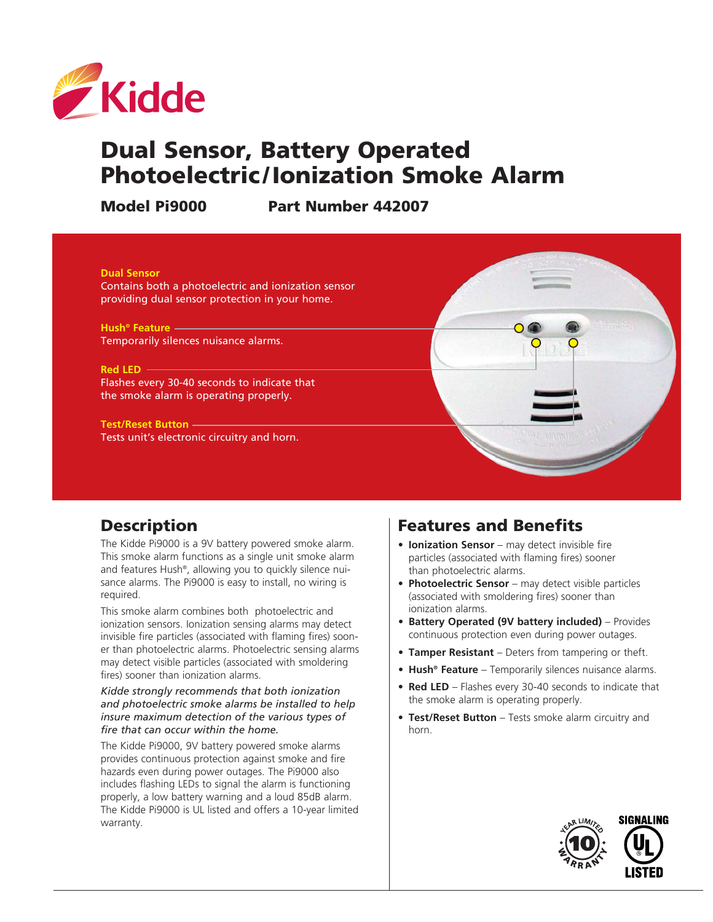

# Dual Sensor, Battery Operated Photoelectric /Ionization Smoke Alarm

Model Pi9000 Part Number 442007



## **Description**

The Kidde Pi9000 is a 9V battery powered smoke alarm. This smoke alarm functions as a single unit smoke alarm and features Hush®, allowing you to quickly silence nuisance alarms. The Pi9000 is easy to install, no wiring is required.

This smoke alarm combines both photoelectric and ionization sensors. Ionization sensing alarms may detect invisible fire particles (associated with flaming fires) sooner than photoelectric alarms. Photoelectric sensing alarms may detect visible particles (associated with smoldering fires) sooner than ionization alarms.

*Kidde strongly recommends that both ionization and photoelectric smoke alarms be installed to help insure maximum detection of the various types of fire that can occur within the home.*

The Kidde Pi9000, 9V battery powered smoke alarms provides continuous protection against smoke and fire hazards even during power outages. The Pi9000 also includes flashing LEDs to signal the alarm is functioning properly, a low battery warning and a loud 85dB alarm. The Kidde Pi9000 is UL listed and offers a 10-year limited warranty.

## Features and Benefits

- **• Ionization Sensor** may detect invisible fire particles (associated with flaming fires) sooner than photoelectric alarms.
- **• Photoelectric Sensor** may detect visible particles (associated with smoldering fires) sooner than ionization alarms.
- **• Battery Operated (9V battery included)** Provides continuous protection even during power outages.
- **• Tamper Resistant** Deters from tampering or theft.
- **• Hush® Feature** Temporarily silences nuisance alarms.
- **• Red LED** Flashes every 30-40 seconds to indicate that the smoke alarm is operating properly.
- **• Test/Reset Button** Tests smoke alarm circuitry and horn.